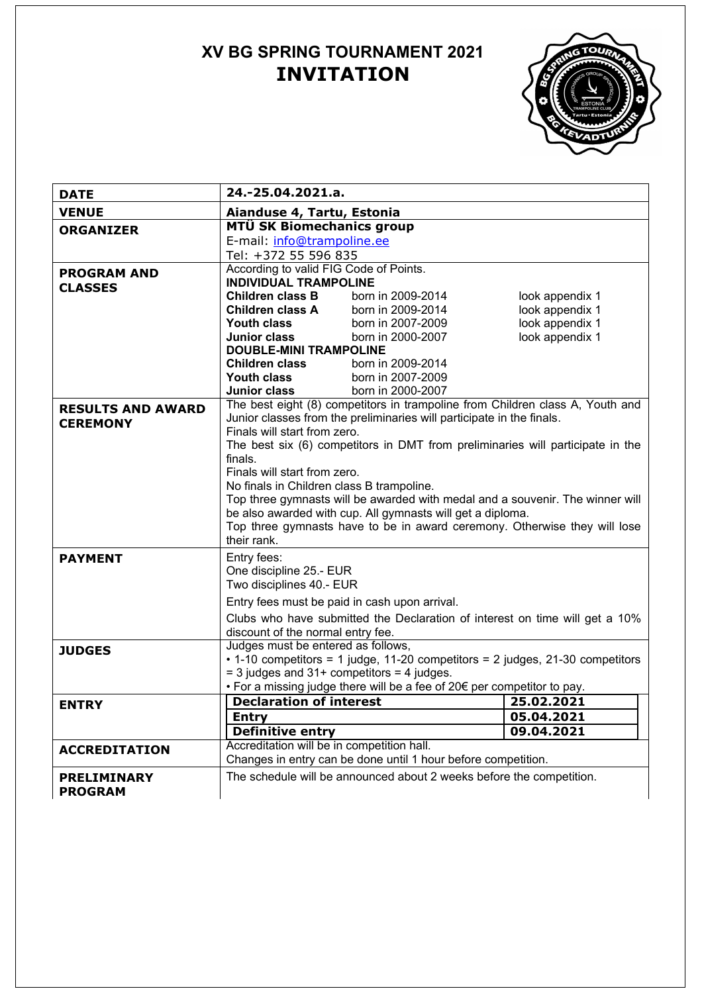# **XV BG SPRING TOURNAMENT 2021 INVITATION**



| <b>DATE</b>              | 24.-25.04.2021.a.                                                                                                                                                                                                                                                                                                                                                                                  |                                                                               |                 |  |  |
|--------------------------|----------------------------------------------------------------------------------------------------------------------------------------------------------------------------------------------------------------------------------------------------------------------------------------------------------------------------------------------------------------------------------------------------|-------------------------------------------------------------------------------|-----------------|--|--|
| <b>VENUE</b>             | Aianduse 4, Tartu, Estonia                                                                                                                                                                                                                                                                                                                                                                         |                                                                               |                 |  |  |
| <b>ORGANIZER</b>         | MTÜ SK Biomechanics group                                                                                                                                                                                                                                                                                                                                                                          |                                                                               |                 |  |  |
|                          | E-mail: info@trampoline.ee                                                                                                                                                                                                                                                                                                                                                                         |                                                                               |                 |  |  |
|                          | Tel: +372 55 596 835                                                                                                                                                                                                                                                                                                                                                                               |                                                                               |                 |  |  |
| <b>PROGRAM AND</b>       | According to valid FIG Code of Points.                                                                                                                                                                                                                                                                                                                                                             |                                                                               |                 |  |  |
| <b>CLASSES</b>           | <b>INDIVIDUAL TRAMPOLINE</b>                                                                                                                                                                                                                                                                                                                                                                       |                                                                               |                 |  |  |
|                          | Children class B                                                                                                                                                                                                                                                                                                                                                                                   | born in 2009-2014                                                             | look appendix 1 |  |  |
|                          | <b>Children class A</b>                                                                                                                                                                                                                                                                                                                                                                            | born in 2009-2014                                                             | look appendix 1 |  |  |
|                          | Youth class                                                                                                                                                                                                                                                                                                                                                                                        | born in 2007-2009                                                             | look appendix 1 |  |  |
|                          | Junior class                                                                                                                                                                                                                                                                                                                                                                                       | born in 2000-2007                                                             | look appendix 1 |  |  |
|                          | <b>DOUBLE-MINI TRAMPOLINE</b>                                                                                                                                                                                                                                                                                                                                                                      |                                                                               |                 |  |  |
|                          | <b>Children class</b>                                                                                                                                                                                                                                                                                                                                                                              | born in 2009-2014                                                             |                 |  |  |
|                          | Youth class                                                                                                                                                                                                                                                                                                                                                                                        | born in 2007-2009                                                             |                 |  |  |
|                          | Junior class                                                                                                                                                                                                                                                                                                                                                                                       | born in 2000-2007                                                             |                 |  |  |
| <b>RESULTS AND AWARD</b> | The best eight (8) competitors in trampoline from Children class A, Youth and<br>Junior classes from the preliminaries will participate in the finals.<br>Finals will start from zero.                                                                                                                                                                                                             |                                                                               |                 |  |  |
| <b>CEREMONY</b>          |                                                                                                                                                                                                                                                                                                                                                                                                    |                                                                               |                 |  |  |
|                          |                                                                                                                                                                                                                                                                                                                                                                                                    |                                                                               |                 |  |  |
|                          | The best six (6) competitors in DMT from preliminaries will participate in the<br>finals.<br>Finals will start from zero.<br>No finals in Children class B trampoline.<br>Top three gymnasts will be awarded with medal and a souvenir. The winner will<br>be also awarded with cup. All gymnasts will get a diploma.<br>Top three gymnasts have to be in award ceremony. Otherwise they will lose |                                                                               |                 |  |  |
|                          |                                                                                                                                                                                                                                                                                                                                                                                                    |                                                                               |                 |  |  |
|                          |                                                                                                                                                                                                                                                                                                                                                                                                    |                                                                               |                 |  |  |
|                          |                                                                                                                                                                                                                                                                                                                                                                                                    |                                                                               |                 |  |  |
|                          |                                                                                                                                                                                                                                                                                                                                                                                                    |                                                                               |                 |  |  |
|                          |                                                                                                                                                                                                                                                                                                                                                                                                    |                                                                               |                 |  |  |
|                          |                                                                                                                                                                                                                                                                                                                                                                                                    |                                                                               |                 |  |  |
|                          | their rank.                                                                                                                                                                                                                                                                                                                                                                                        |                                                                               |                 |  |  |
| <b>PAYMENT</b>           | Entry fees:<br>One discipline 25.- EUR<br>Two disciplines 40.- EUR                                                                                                                                                                                                                                                                                                                                 |                                                                               |                 |  |  |
|                          |                                                                                                                                                                                                                                                                                                                                                                                                    |                                                                               |                 |  |  |
|                          |                                                                                                                                                                                                                                                                                                                                                                                                    |                                                                               |                 |  |  |
|                          | Entry fees must be paid in cash upon arrival.                                                                                                                                                                                                                                                                                                                                                      |                                                                               |                 |  |  |
|                          |                                                                                                                                                                                                                                                                                                                                                                                                    | Clubs who have submitted the Declaration of interest on time will get a 10%   |                 |  |  |
|                          | discount of the normal entry fee.                                                                                                                                                                                                                                                                                                                                                                  |                                                                               |                 |  |  |
| <b>JUDGES</b>            | Judges must be entered as follows,                                                                                                                                                                                                                                                                                                                                                                 |                                                                               |                 |  |  |
|                          |                                                                                                                                                                                                                                                                                                                                                                                                    | • 1-10 competitors = 1 judge, 11-20 competitors = 2 judges, 21-30 competitors |                 |  |  |
|                          | $=$ 3 judges and 31+ competitors $=$ 4 judges.                                                                                                                                                                                                                                                                                                                                                     |                                                                               |                 |  |  |
|                          |                                                                                                                                                                                                                                                                                                                                                                                                    | • For a missing judge there will be a fee of 20€ per competitor to pay.       |                 |  |  |
| <b>ENTRY</b>             | <b>Declaration of interest</b>                                                                                                                                                                                                                                                                                                                                                                     |                                                                               | 25.02.2021      |  |  |
|                          | <b>Entry</b>                                                                                                                                                                                                                                                                                                                                                                                       |                                                                               | 05.04.2021      |  |  |
|                          | <b>Definitive entry</b>                                                                                                                                                                                                                                                                                                                                                                            |                                                                               | 09.04.2021      |  |  |
| <b>ACCREDITATION</b>     | Accreditation will be in competition hall.                                                                                                                                                                                                                                                                                                                                                         |                                                                               |                 |  |  |
|                          | Changes in entry can be done until 1 hour before competition.                                                                                                                                                                                                                                                                                                                                      |                                                                               |                 |  |  |
| <b>PRELIMINARY</b>       | The schedule will be announced about 2 weeks before the competition.                                                                                                                                                                                                                                                                                                                               |                                                                               |                 |  |  |
| <b>PROGRAM</b>           |                                                                                                                                                                                                                                                                                                                                                                                                    |                                                                               |                 |  |  |
|                          |                                                                                                                                                                                                                                                                                                                                                                                                    |                                                                               |                 |  |  |